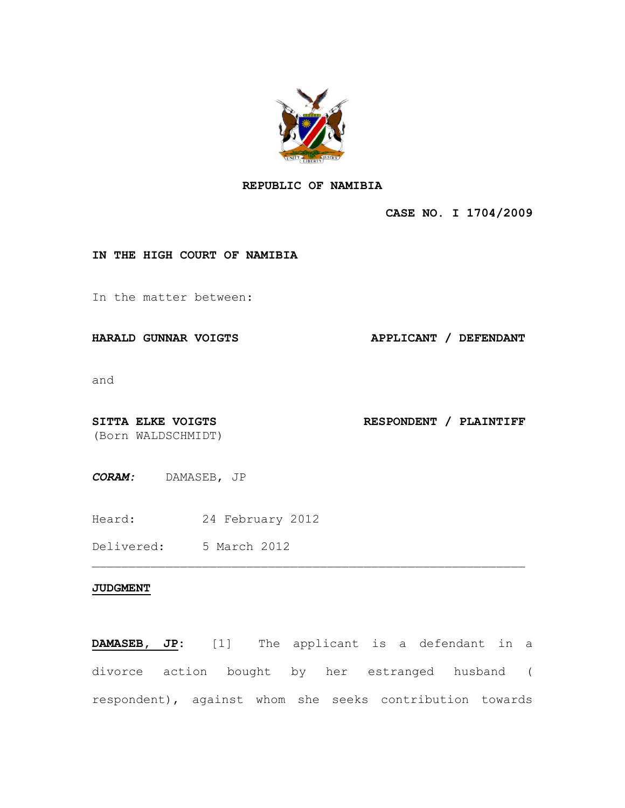

## **REPUBLIC OF NAMIBIA**

**CASE NO. I 1704/2009**

## **IN THE HIGH COURT OF NAMIBIA**

In the matter between:

**HARALD GUNNAR VOIGTS APPLICANT / DEFENDANT**

and

(Born WALDSCHMIDT)

SITTA ELKE VOIGTS **RESPONDENT** / PLAINTIFF

*CORAM:* DAMASEB, JP

Heard: 24 February 2012

Delivered: 5 March 2012

## **JUDGMENT**

**DAMASEB, JP:** [1] The applicant is a defendant in a divorce action bought by her estranged husband ( respondent), against whom she seeks contribution towards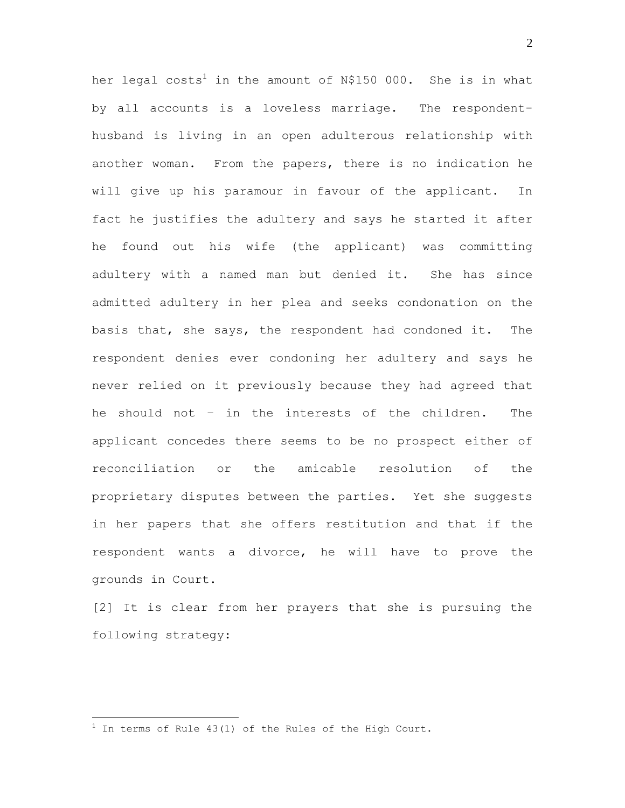her legal costs<sup>1</sup> in the amount of N\$150 000. She is in what by all accounts is a loveless marriage. The respondenthusband is living in an open adulterous relationship with another woman. From the papers, there is no indication he will give up his paramour in favour of the applicant. In fact he justifies the adultery and says he started it after he found out his wife (the applicant) was committing adultery with a named man but denied it. She has since admitted adultery in her plea and seeks condonation on the basis that, she says, the respondent had condoned it. The respondent denies ever condoning her adultery and says he never relied on it previously because they had agreed that he should not – in the interests of the children. The applicant concedes there seems to be no prospect either of reconciliation or the amicable resolution of the proprietary disputes between the parties. Yet she suggests in her papers that she offers restitution and that if the respondent wants a divorce, he will have to prove the grounds in Court.

[2] It is clear from her prayers that she is pursuing the following strategy:

 $\overline{a}$ 

 $1$  In terms of Rule 43(1) of the Rules of the High Court.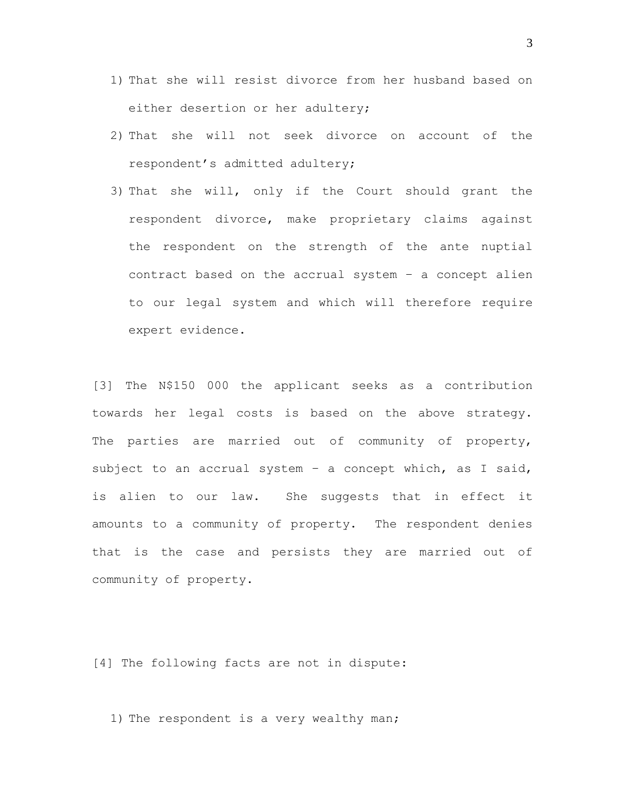- 1) That she will resist divorce from her husband based on either desertion or her adultery;
- 2) That she will not seek divorce on account of the respondent's admitted adultery;
- 3) That she will, only if the Court should grant the respondent divorce, make proprietary claims against the respondent on the strength of the ante nuptial contract based on the accrual system – a concept alien to our legal system and which will therefore require expert evidence.

[3] The N\$150 000 the applicant seeks as a contribution towards her legal costs is based on the above strategy. The parties are married out of community of property, subject to an accrual system - a concept which, as I said, is alien to our law. She suggests that in effect it amounts to a community of property. The respondent denies that is the case and persists they are married out of community of property.

[4] The following facts are not in dispute:

1) The respondent is a very wealthy man;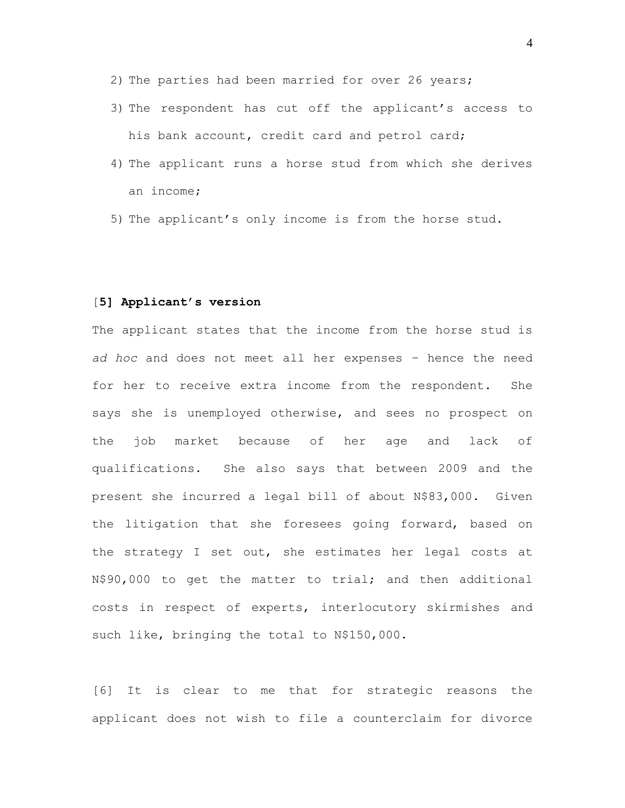- 2) The parties had been married for over 26 years;
- 3) The respondent has cut off the applicant's access to his bank account, credit card and petrol card;
- 4) The applicant runs a horse stud from which she derives an income;
- 5) The applicant's only income is from the horse stud.

## [**5] Applicant's version**

The applicant states that the income from the horse stud is *ad hoc* and does not meet all her expenses – hence the need for her to receive extra income from the respondent. She says she is unemployed otherwise, and sees no prospect on the job market because of her age and lack of qualifications. She also says that between 2009 and the present she incurred a legal bill of about N\$83,000. Given the litigation that she foresees going forward, based on the strategy I set out, she estimates her legal costs at N\$90,000 to get the matter to trial; and then additional costs in respect of experts, interlocutory skirmishes and such like, bringing the total to N\$150,000.

[6] It is clear to me that for strategic reasons the applicant does not wish to file a counterclaim for divorce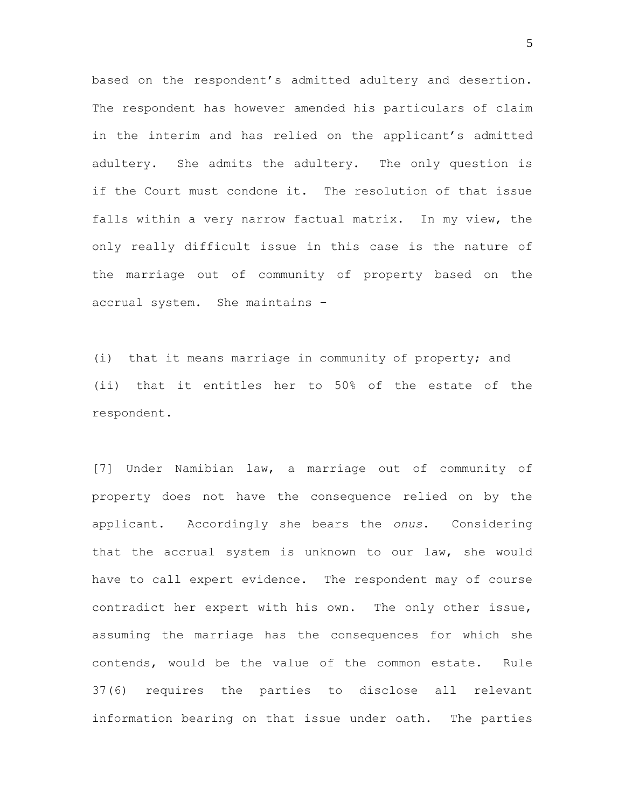based on the respondent's admitted adultery and desertion. The respondent has however amended his particulars of claim in the interim and has relied on the applicant's admitted adultery. She admits the adultery. The only question is if the Court must condone it. The resolution of that issue falls within a very narrow factual matrix. In my view, the only really difficult issue in this case is the nature of the marriage out of community of property based on the accrual system. She maintains –

(i) that it means marriage in community of property; and (ii) that it entitles her to 50% of the estate of the respondent.

[7] Under Namibian law, a marriage out of community of property does not have the consequence relied on by the applicant. Accordingly she bears the *onus*. Considering that the accrual system is unknown to our law, she would have to call expert evidence. The respondent may of course contradict her expert with his own. The only other issue, assuming the marriage has the consequences for which she contends, would be the value of the common estate. Rule 37(6) requires the parties to disclose all relevant information bearing on that issue under oath. The parties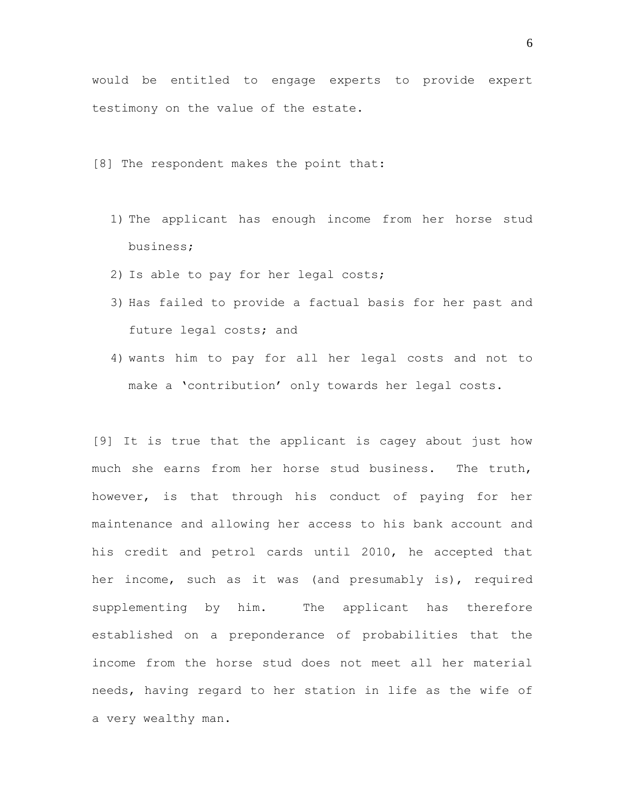would be entitled to engage experts to provide expert testimony on the value of the estate.

[8] The respondent makes the point that:

- 1) The applicant has enough income from her horse stud business;
- 2) Is able to pay for her legal costs;
- 3) Has failed to provide a factual basis for her past and future legal costs; and
- 4) wants him to pay for all her legal costs and not to make a 'contribution' only towards her legal costs.

[9] It is true that the applicant is cagey about just how much she earns from her horse stud business. The truth, however, is that through his conduct of paying for her maintenance and allowing her access to his bank account and his credit and petrol cards until 2010, he accepted that her income, such as it was (and presumably is), required supplementing by him. The applicant has therefore established on a preponderance of probabilities that the income from the horse stud does not meet all her material needs, having regard to her station in life as the wife of a very wealthy man.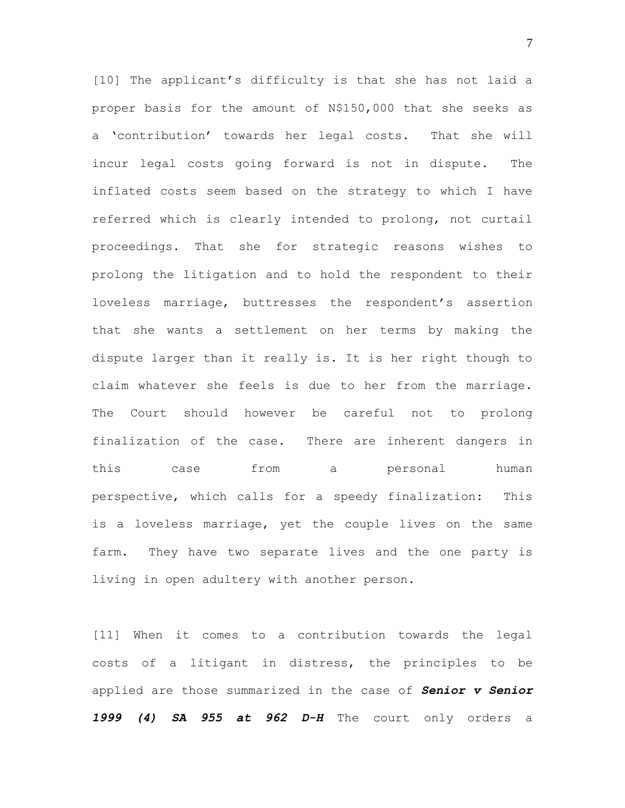[10] The applicant's difficulty is that she has not laid a proper basis for the amount of N\$150,000 that she seeks as a 'contribution' towards her legal costs. That she will incur legal costs going forward is not in dispute. The inflated costs seem based on the strategy to which I have referred which is clearly intended to prolong, not curtail proceedings. That she for strategic reasons wishes to prolong the litigation and to hold the respondent to their loveless marriage, buttresses the respondent's assertion that she wants a settlement on her terms by making the dispute larger than it really is. It is her right though to claim whatever she feels is due to her from the marriage. The Court should however be careful not to prolong finalization of the case. There are inherent dangers in this case from a personal human perspective, which calls for a speedy finalization: This is a loveless marriage, yet the couple lives on the same farm. They have two separate lives and the one party is living in open adultery with another person.

[11] When it comes to a contribution towards the legal costs of a litigant in distress, the principles to be applied are those summarized in the case of *Senior v Senior 1999 (4) SA 955 at 962 D-H* The court only orders a

7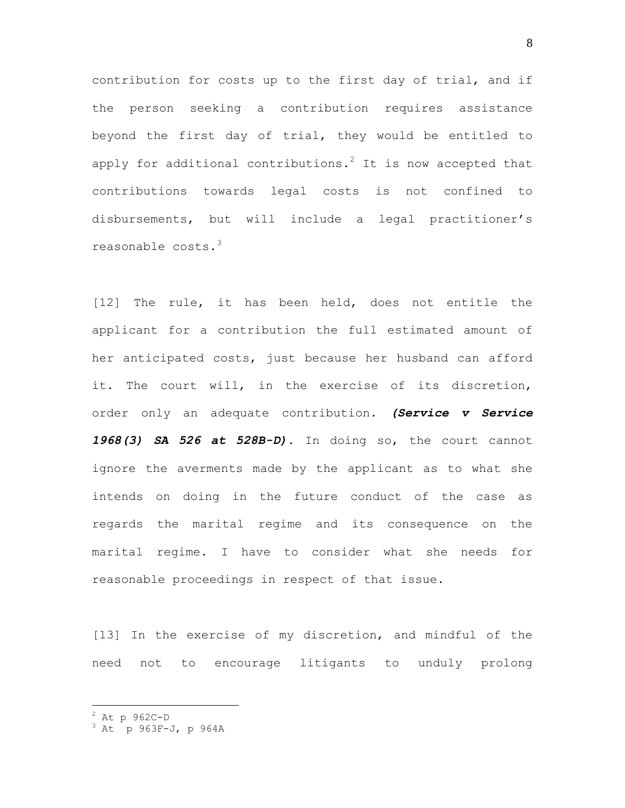contribution for costs up to the first day of trial, and if the person seeking a contribution requires assistance beyond the first day of trial, they would be entitled to apply for additional contributions.<sup>2</sup> It is now accepted that contributions towards legal costs is not confined to disbursements, but will include a legal practitioner's reasonable costs.<sup>3</sup>

[12] The rule, it has been held, does not entitle the applicant for a contribution the full estimated amount of her anticipated costs, just because her husband can afford it. The court will, in the exercise of its discretion, order only an adequate contribution. *(Service v Service 1968(3) SA 526 at 528B-D).* In doing so, the court cannot ignore the averments made by the applicant as to what she intends on doing in the future conduct of the case as regards the marital regime and its consequence on the marital regime. I have to consider what she needs for reasonable proceedings in respect of that issue.

[13] In the exercise of my discretion, and mindful of the need not to encourage litigants to unduly prolong

 $\overline{a}$ 

 $2$  At p 962C-D

 $3$  At p 963F-J, p 964A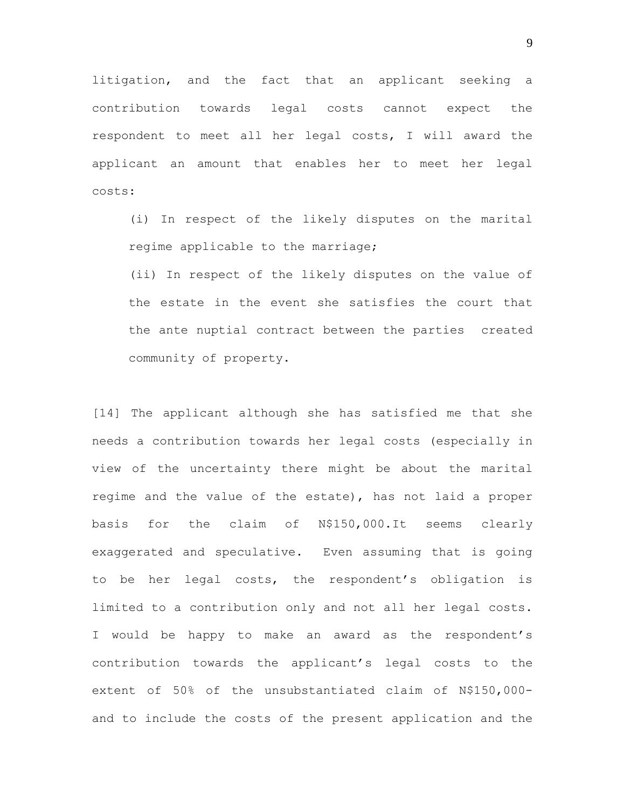litigation, and the fact that an applicant seeking a contribution towards legal costs cannot expect the respondent to meet all her legal costs, I will award the applicant an amount that enables her to meet her legal costs:

(i) In respect of the likely disputes on the marital regime applicable to the marriage;

(ii) In respect of the likely disputes on the value of the estate in the event she satisfies the court that the ante nuptial contract between the parties created community of property.

[14] The applicant although she has satisfied me that she needs a contribution towards her legal costs (especially in view of the uncertainty there might be about the marital regime and the value of the estate), has not laid a proper basis for the claim of N\$150,000.It seems clearly exaggerated and speculative. Even assuming that is going to be her legal costs, the respondent's obligation is limited to a contribution only and not all her legal costs. I would be happy to make an award as the respondent's contribution towards the applicant's legal costs to the extent of 50% of the unsubstantiated claim of N\$150,000 and to include the costs of the present application and the

9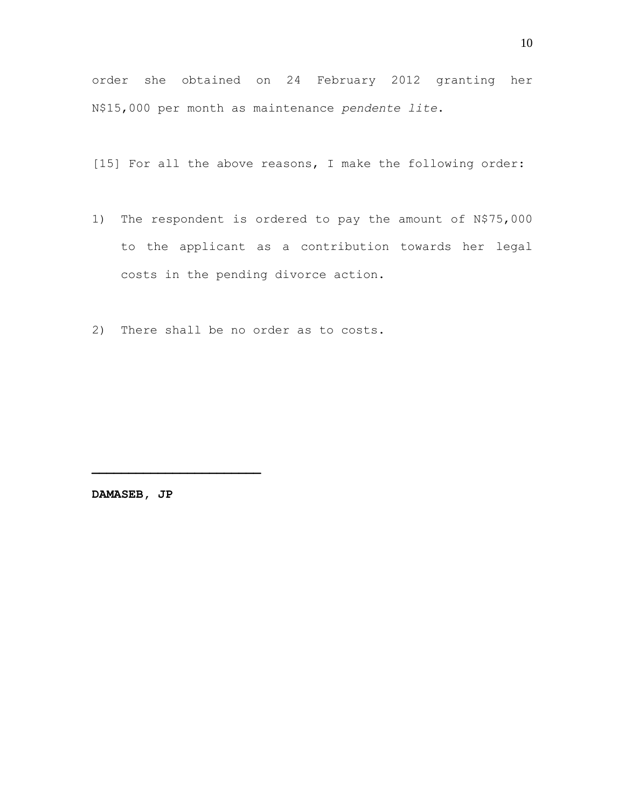order she obtained on 24 February 2012 granting her N\$15,000 per month as maintenance *pendente lite*.

[15] For all the above reasons, I make the following order:

- 1) The respondent is ordered to pay the amount of N\$75,000 to the applicant as a contribution towards her legal costs in the pending divorce action.
- 2) There shall be no order as to costs.

**DAMASEB, JP**